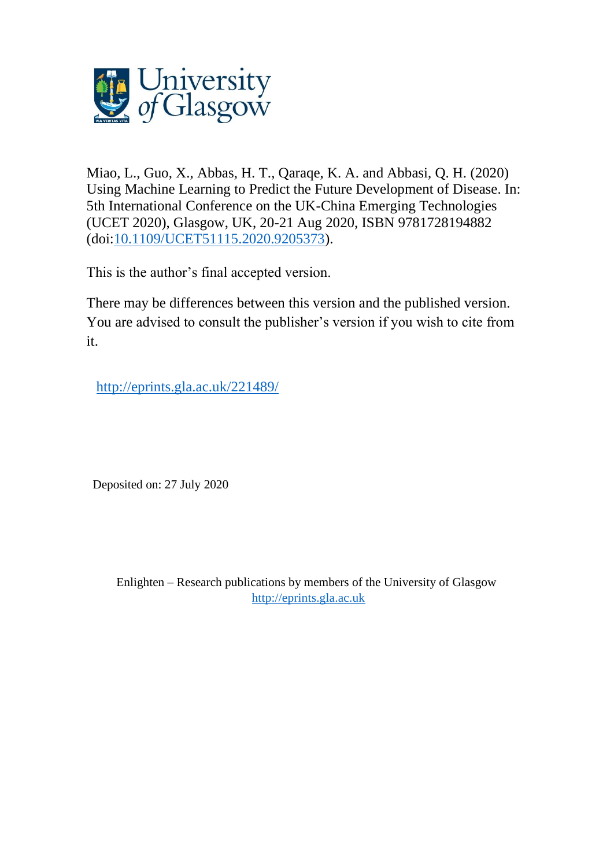

Miao, L., Guo, X., Abbas, H. T., Qaraqe, K. A. and Abbasi, Q. H. (2020) Using Machine Learning to Predict the Future Development of Disease. In: 5th International Conference on the UK-China Emerging Technologies (UCET 2020), Glasgow, UK, 20-21 Aug 2020, ISBN 9781728194882 (doi[:10.1109/UCET51115.2020.9205373\)](http://dx.doi.org/10.1109/UCET51115.2020.9205373).

This is the author's final accepted version.

There may be differences between this version and the published version. You are advised to consult the publisher's version if you wish to cite from it.

[http://eprints.gla.ac.uk/221489/](http://eprints.gla.ac.uk/221486)

Deposited on: 27 July 2020

Enlighten – Research publications by members of the University of Glasgow [http://eprints.gla.ac.uk](http://eprints.gla.ac.uk/)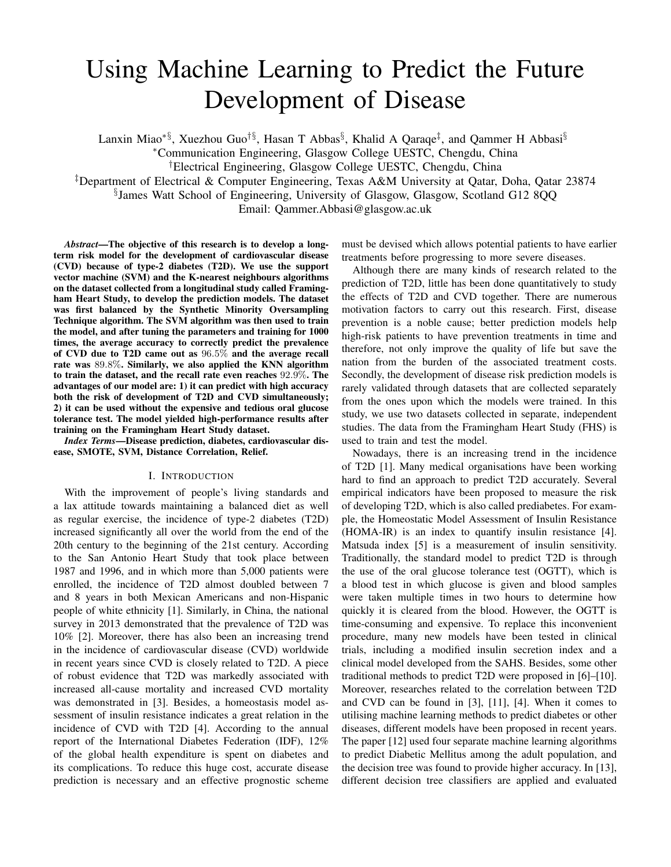# Using Machine Learning to Predict the Future Development of Disease

Lanxin Miao<sup>∗§</sup>, Xuezhou Guo<sup>†§</sup>, Hasan T Abbas<sup>§</sup>, Khalid A Qaraqe<sup>‡</sup>, and Qammer H Abbasi<sup>§</sup>

<sup>∗</sup>Communication Engineering, Glasgow College UESTC, Chengdu, China

†Electrical Engineering, Glasgow College UESTC, Chengdu, China

‡Department of Electrical & Computer Engineering, Texas A&M University at Qatar, Doha, Qatar 23874

§ James Watt School of Engineering, University of Glasgow, Glasgow, Scotland G12 8QQ

Email: Qammer.Abbasi@glasgow.ac.uk

*Abstract*—The objective of this research is to develop a longterm risk model for the development of cardiovascular disease (CVD) because of type-2 diabetes (T2D). We use the support vector machine (SVM) and the K-nearest neighbours algorithms on the dataset collected from a longitudinal study called Framingham Heart Study, to develop the prediction models. The dataset was first balanced by the Synthetic Minority Oversampling Technique algorithm. The SVM algorithm was then used to train the model, and after tuning the parameters and training for 1000 times, the average accuracy to correctly predict the prevalence of CVD due to T2D came out as 96.5% and the average recall rate was 89.8%. Similarly, we also applied the KNN algorithm to train the dataset, and the recall rate even reaches 92.9%. The advantages of our model are: 1) it can predict with high accuracy both the risk of development of T2D and CVD simultaneously; 2) it can be used without the expensive and tedious oral glucose tolerance test. The model yielded high-performance results after training on the Framingham Heart Study dataset.

*Index Terms*—Disease prediction, diabetes, cardiovascular disease, SMOTE, SVM, Distance Correlation, Relief.

#### I. INTRODUCTION

With the improvement of people's living standards and a lax attitude towards maintaining a balanced diet as well as regular exercise, the incidence of type-2 diabetes (T2D) increased significantly all over the world from the end of the 20th century to the beginning of the 21st century. According to the San Antonio Heart Study that took place between 1987 and 1996, and in which more than 5,000 patients were enrolled, the incidence of T2D almost doubled between 7 and 8 years in both Mexican Americans and non-Hispanic people of white ethnicity [1]. Similarly, in China, the national survey in 2013 demonstrated that the prevalence of T2D was 10% [2]. Moreover, there has also been an increasing trend in the incidence of cardiovascular disease (CVD) worldwide in recent years since CVD is closely related to T2D. A piece of robust evidence that T2D was markedly associated with increased all-cause mortality and increased CVD mortality was demonstrated in [3]. Besides, a homeostasis model assessment of insulin resistance indicates a great relation in the incidence of CVD with T2D [4]. According to the annual report of the International Diabetes Federation (IDF), 12% of the global health expenditure is spent on diabetes and its complications. To reduce this huge cost, accurate disease prediction is necessary and an effective prognostic scheme must be devised which allows potential patients to have earlier treatments before progressing to more severe diseases.

Although there are many kinds of research related to the prediction of T2D, little has been done quantitatively to study the effects of T2D and CVD together. There are numerous motivation factors to carry out this research. First, disease prevention is a noble cause; better prediction models help high-risk patients to have prevention treatments in time and therefore, not only improve the quality of life but save the nation from the burden of the associated treatment costs. Secondly, the development of disease risk prediction models is rarely validated through datasets that are collected separately from the ones upon which the models were trained. In this study, we use two datasets collected in separate, independent studies. The data from the Framingham Heart Study (FHS) is used to train and test the model.

Nowadays, there is an increasing trend in the incidence of T2D [1]. Many medical organisations have been working hard to find an approach to predict T2D accurately. Several empirical indicators have been proposed to measure the risk of developing T2D, which is also called prediabetes. For example, the Homeostatic Model Assessment of Insulin Resistance (HOMA-IR) is an index to quantify insulin resistance [4]. Matsuda index [5] is a measurement of insulin sensitivity. Traditionally, the standard model to predict T2D is through the use of the oral glucose tolerance test (OGTT), which is a blood test in which glucose is given and blood samples were taken multiple times in two hours to determine how quickly it is cleared from the blood. However, the OGTT is time-consuming and expensive. To replace this inconvenient procedure, many new models have been tested in clinical trials, including a modified insulin secretion index and a clinical model developed from the SAHS. Besides, some other traditional methods to predict T2D were proposed in [6]–[10]. Moreover, researches related to the correlation between T2D and CVD can be found in [3], [11], [4]. When it comes to utilising machine learning methods to predict diabetes or other diseases, different models have been proposed in recent years. The paper [12] used four separate machine learning algorithms to predict Diabetic Mellitus among the adult population, and the decision tree was found to provide higher accuracy. In [13], different decision tree classifiers are applied and evaluated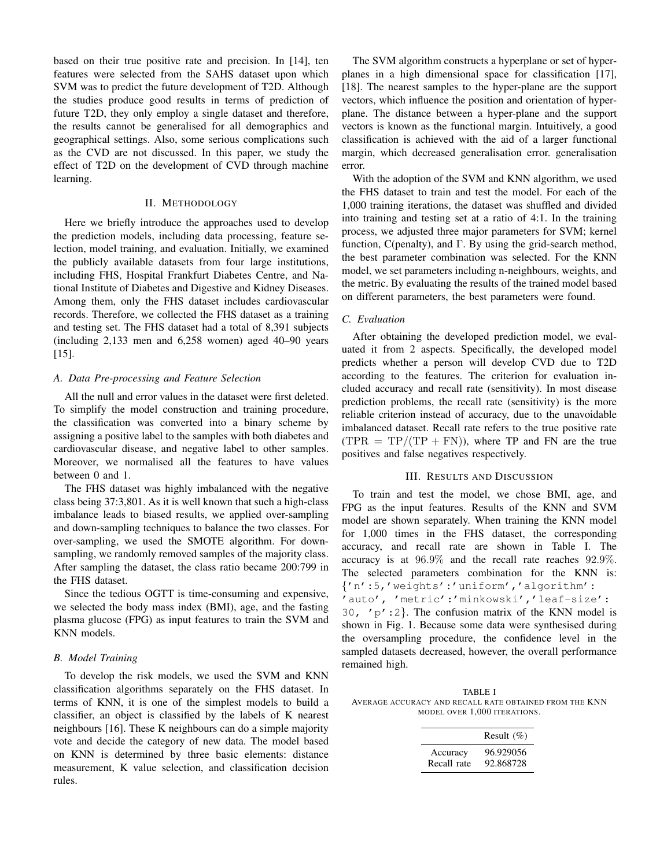based on their true positive rate and precision. In [14], ten features were selected from the SAHS dataset upon which SVM was to predict the future development of T2D. Although the studies produce good results in terms of prediction of future T2D, they only employ a single dataset and therefore, the results cannot be generalised for all demographics and geographical settings. Also, some serious complications such as the CVD are not discussed. In this paper, we study the effect of T2D on the development of CVD through machine learning.

### II. METHODOLOGY

Here we briefly introduce the approaches used to develop the prediction models, including data processing, feature selection, model training, and evaluation. Initially, we examined the publicly available datasets from four large institutions, including FHS, Hospital Frankfurt Diabetes Centre, and National Institute of Diabetes and Digestive and Kidney Diseases. Among them, only the FHS dataset includes cardiovascular records. Therefore, we collected the FHS dataset as a training and testing set. The FHS dataset had a total of 8,391 subjects (including 2,133 men and 6,258 women) aged 40–90 years [15].

# *A. Data Pre-processing and Feature Selection*

All the null and error values in the dataset were first deleted. To simplify the model construction and training procedure, the classification was converted into a binary scheme by assigning a positive label to the samples with both diabetes and cardiovascular disease, and negative label to other samples. Moreover, we normalised all the features to have values between 0 and 1.

The FHS dataset was highly imbalanced with the negative class being 37:3,801. As it is well known that such a high-class imbalance leads to biased results, we applied over-sampling and down-sampling techniques to balance the two classes. For over-sampling, we used the SMOTE algorithm. For downsampling, we randomly removed samples of the majority class. After sampling the dataset, the class ratio became 200:799 in the FHS dataset.

Since the tedious OGTT is time-consuming and expensive, we selected the body mass index (BMI), age, and the fasting plasma glucose (FPG) as input features to train the SVM and KNN models.

# *B. Model Training*

To develop the risk models, we used the SVM and KNN classification algorithms separately on the FHS dataset. In terms of KNN, it is one of the simplest models to build a classifier, an object is classified by the labels of K nearest neighbours [16]. These K neighbours can do a simple majority vote and decide the category of new data. The model based on KNN is determined by three basic elements: distance measurement, K value selection, and classification decision rules.

The SVM algorithm constructs a hyperplane or set of hyperplanes in a high dimensional space for classification [17], [18]. The nearest samples to the hyper-plane are the support vectors, which influence the position and orientation of hyperplane. The distance between a hyper-plane and the support vectors is known as the functional margin. Intuitively, a good classification is achieved with the aid of a larger functional margin, which decreased generalisation error. generalisation error.

With the adoption of the SVM and KNN algorithm, we used the FHS dataset to train and test the model. For each of the 1,000 training iterations, the dataset was shuffled and divided into training and testing set at a ratio of 4:1. In the training process, we adjusted three major parameters for SVM; kernel function, C(penalty), and  $\Gamma$ . By using the grid-search method, the best parameter combination was selected. For the KNN model, we set parameters including n-neighbours, weights, and the metric. By evaluating the results of the trained model based on different parameters, the best parameters were found.

# *C. Evaluation*

After obtaining the developed prediction model, we evaluated it from 2 aspects. Specifically, the developed model predicts whether a person will develop CVD due to T2D according to the features. The criterion for evaluation included accuracy and recall rate (sensitivity). In most disease prediction problems, the recall rate (sensitivity) is the more reliable criterion instead of accuracy, due to the unavoidable imbalanced dataset. Recall rate refers to the true positive rate  $(TPR = TP/(TP + FN))$ , where TP and FN are the true positives and false negatives respectively.

# III. RESULTS AND DISCUSSION

To train and test the model, we chose BMI, age, and FPG as the input features. Results of the KNN and SVM model are shown separately. When training the KNN model for 1,000 times in the FHS dataset, the corresponding accuracy, and recall rate are shown in Table I. The accuracy is at 96.9% and the recall rate reaches 92.9%. The selected parameters combination for the KNN is: {'n':5,'weights':'uniform','algorithm': 'auto', 'metric':'minkowski','leaf-size': 30,  $\langle p' : 2 \rangle$ . The confusion matrix of the KNN model is shown in Fig. 1. Because some data were synthesised during the oversampling procedure, the confidence level in the sampled datasets decreased, however, the overall performance remained high.

TABLE I AVERAGE ACCURACY AND RECALL RATE OBTAINED FROM THE KNN MODEL OVER 1,000 ITERATIONS.

|             | Result $(\%)$ |
|-------------|---------------|
| Accuracy    | 96.929056     |
| Recall rate | 92.868728     |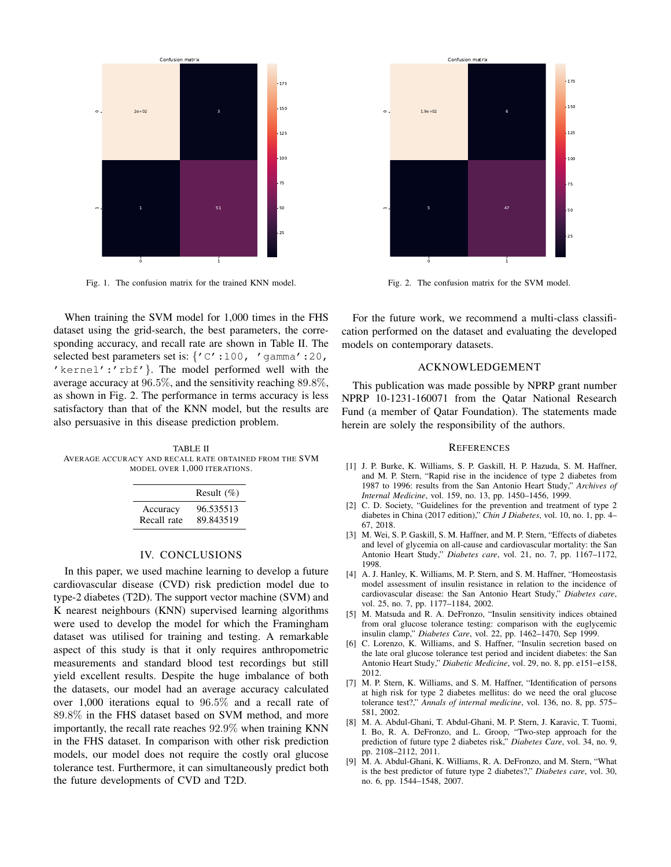

Fig. 1. The confusion matrix for the trained KNN model.

When training the SVM model for 1,000 times in the FHS dataset using the grid-search, the best parameters, the corresponding accuracy, and recall rate are shown in Table II. The selected best parameters set is: {'C':100, 'gamma':20, 'kernel':'rbf'}. The model performed well with the average accuracy at 96.5%, and the sensitivity reaching 89.8%, as shown in Fig. 2. The performance in terms accuracy is less satisfactory than that of the KNN model, but the results are also persuasive in this disease prediction problem.

TABLE II AVERAGE ACCURACY AND RECALL RATE OBTAINED FROM THE SVM MODEL OVER 1,000 ITERATIONS.

|             | Result $(\%)$ |
|-------------|---------------|
| Accuracy    | 96.535513     |
| Recall rate | 89.843519     |

### IV. CONCLUSIONS

In this paper, we used machine learning to develop a future cardiovascular disease (CVD) risk prediction model due to type-2 diabetes (T2D). The support vector machine (SVM) and K nearest neighbours (KNN) supervised learning algorithms were used to develop the model for which the Framingham dataset was utilised for training and testing. A remarkable aspect of this study is that it only requires anthropometric measurements and standard blood test recordings but still yield excellent results. Despite the huge imbalance of both the datasets, our model had an average accuracy calculated over 1,000 iterations equal to 96.5% and a recall rate of 89.8% in the FHS dataset based on SVM method, and more importantly, the recall rate reaches 92.9% when training KNN in the FHS dataset. In comparison with other risk prediction models, our model does not require the costly oral glucose tolerance test. Furthermore, it can simultaneously predict both the future developments of CVD and T2D.



Fig. 2. The confusion matrix for the SVM model.

For the future work, we recommend a multi-class classification performed on the dataset and evaluating the developed models on contemporary datasets.

# ACKNOWLEDGEMENT

This publication was made possible by NPRP grant number NPRP 10-1231-160071 from the Qatar National Research Fund (a member of Qatar Foundation). The statements made herein are solely the responsibility of the authors.

#### **REFERENCES**

- [1] J. P. Burke, K. Williams, S. P. Gaskill, H. P. Hazuda, S. M. Haffner, and M. P. Stern, "Rapid rise in the incidence of type 2 diabetes from 1987 to 1996: results from the San Antonio Heart Study," *Archives of Internal Medicine*, vol. 159, no. 13, pp. 1450–1456, 1999.
- [2] C. D. Society, "Guidelines for the prevention and treatment of type 2 diabetes in China (2017 edition)," *Chin J Diabetes*, vol. 10, no. 1, pp. 4– 67, 2018.
- [3] M. Wei, S. P. Gaskill, S. M. Haffner, and M. P. Stern, "Effects of diabetes and level of glycemia on all-cause and cardiovascular mortality: the San Antonio Heart Study," *Diabetes care*, vol. 21, no. 7, pp. 1167–1172, 1998.
- [4] A. J. Hanley, K. Williams, M. P. Stern, and S. M. Haffner, "Homeostasis model assessment of insulin resistance in relation to the incidence of cardiovascular disease: the San Antonio Heart Study," *Diabetes care*, vol. 25, no. 7, pp. 1177–1184, 2002.
- [5] M. Matsuda and R. A. DeFronzo, "Insulin sensitivity indices obtained from oral glucose tolerance testing: comparison with the euglycemic insulin clamp," *Diabetes Care*, vol. 22, pp. 1462–1470, Sep 1999.
- [6] C. Lorenzo, K. Williams, and S. Haffner, "Insulin secretion based on the late oral glucose tolerance test period and incident diabetes: the San Antonio Heart Study," *Diabetic Medicine*, vol. 29, no. 8, pp. e151–e158, 2012.
- [7] M. P. Stern, K. Williams, and S. M. Haffner, "Identification of persons at high risk for type 2 diabetes mellitus: do we need the oral glucose tolerance test?," *Annals of internal medicine*, vol. 136, no. 8, pp. 575– 581, 2002.
- [8] M. A. Abdul-Ghani, T. Abdul-Ghani, M. P. Stern, J. Karavic, T. Tuomi, I. Bo, R. A. DeFronzo, and L. Groop, "Two-step approach for the prediction of future type 2 diabetes risk," *Diabetes Care*, vol. 34, no. 9, pp. 2108–2112, 2011.
- [9] M. A. Abdul-Ghani, K. Williams, R. A. DeFronzo, and M. Stern, "What is the best predictor of future type 2 diabetes?," *Diabetes care*, vol. 30, no. 6, pp. 1544–1548, 2007.